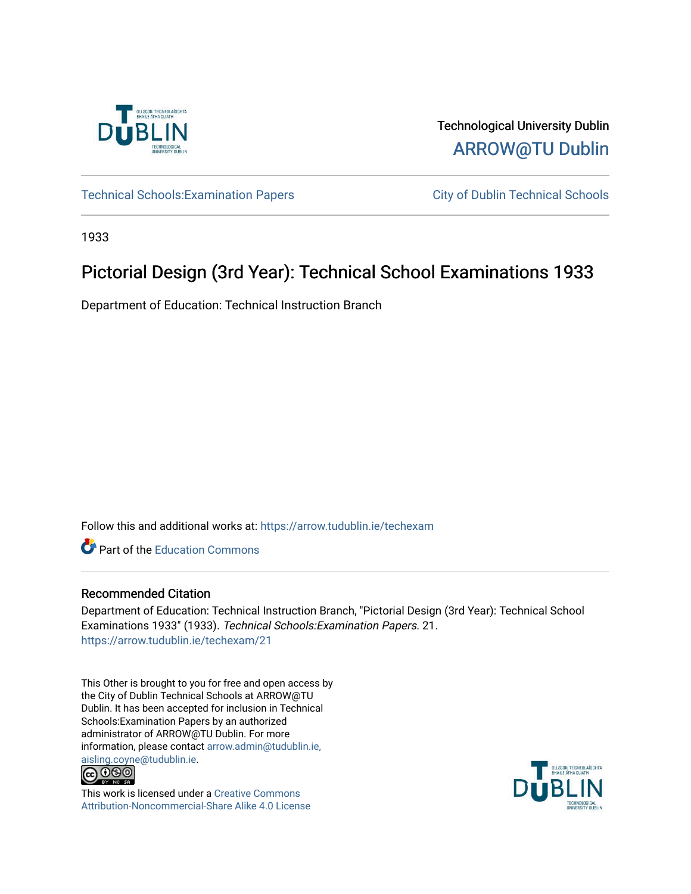

Technological University Dublin [ARROW@TU Dublin](https://arrow.tudublin.ie/) 

Technical Schools: Examination Papers City of Dublin Technical Schools

1933

# Pictorial Design (3rd Year): Technical School Examinations 1933

Department of Education: Technical Instruction Branch

Follow this and additional works at: [https://arrow.tudublin.ie/techexam](https://arrow.tudublin.ie/techexam?utm_source=arrow.tudublin.ie%2Ftechexam%2F21&utm_medium=PDF&utm_campaign=PDFCoverPages) 

Part of the [Education Commons](http://network.bepress.com/hgg/discipline/784?utm_source=arrow.tudublin.ie%2Ftechexam%2F21&utm_medium=PDF&utm_campaign=PDFCoverPages)

## Recommended Citation

Department of Education: Technical Instruction Branch, "Pictorial Design (3rd Year): Technical School Examinations 1933" (1933). Technical Schools:Examination Papers. 21. [https://arrow.tudublin.ie/techexam/21](https://arrow.tudublin.ie/techexam/21?utm_source=arrow.tudublin.ie%2Ftechexam%2F21&utm_medium=PDF&utm_campaign=PDFCoverPages)

This Other is brought to you for free and open access by the City of Dublin Technical Schools at ARROW@TU Dublin. It has been accepted for inclusion in Technical Schools:Examination Papers by an authorized administrator of ARROW@TU Dublin. For more information, please contact [arrow.admin@tudublin.ie,](mailto:arrow.admin@tudublin.ie,%20aisling.coyne@tudublin.ie)  [aisling.coyne@tudublin.ie.](mailto:arrow.admin@tudublin.ie,%20aisling.coyne@tudublin.ie)<br>© 090



This work is licensed under a [Creative Commons](http://creativecommons.org/licenses/by-nc-sa/4.0/) [Attribution-Noncommercial-Share Alike 4.0 License](http://creativecommons.org/licenses/by-nc-sa/4.0/)

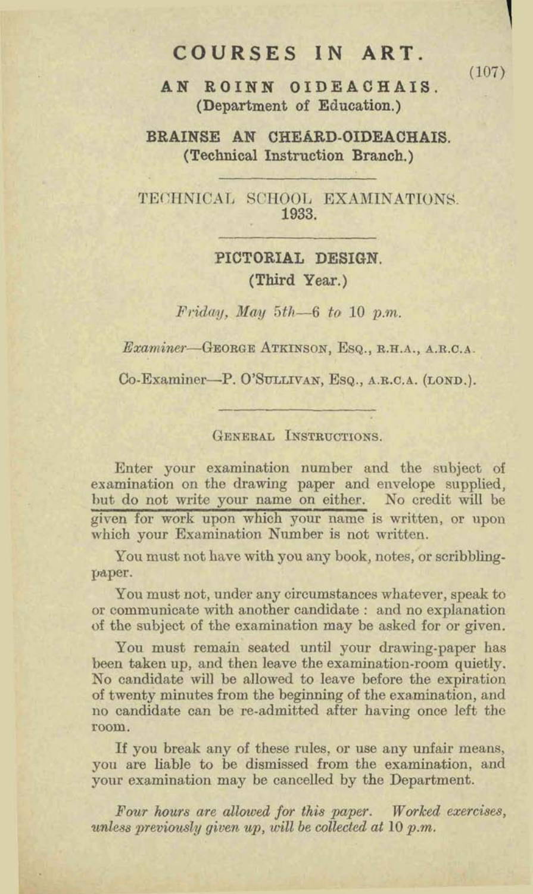## **COURSES IN ART. <sup>9</sup>**

 $(107)$ 

AN ROINN OIDEACHAIS. (Department of Education.)

BRAINSE AN CHEARD-OIDEACHAIS. (Technical Instruction Branch.)

TECHNICAL SCHOOL EXAMINATIONS. 1933

> **PICTORIAL DESIGN.** (Third Year.)

 $Friday$ , May 5th-6 to 10 p.m.

*Examiner*-GEORGE ATKINSON, ESQ., R.H.A., A.R.C.A.

Co-Examiner-P. O'SULLIVAN, ESQ., A.R.C.A. (LOND.).

GENERAL INSTRUCTIONS.

Enter your examination number and the subject of examination on the drawing paper and envelope supplied, hut do not write your name on either. No credit will be given for work upon which your name **k** writkm, **or** upon which your Examination Number is not written.

You must not have with you any book, notes, or scribblingpaper.

You must not, under any circumstances whatever, speak to or communicate with another candidate : and no explanation of the subject of the examination may be caked for **or** given.

You must remain seated until your drawing-paper has hen taken up, and then leave the exanination-room quietly. No candidate will be allowed to leave before the expiration of twenty minutes from the beginning of the examination, and no candidate aan be re-admitted after having once left the rom.

If you break any of these rules, or use any unfair means, you are **liable** to **bs** dismissed from the examination, and your examination may be cancelled by the Department.

**Four hours are allowed for this paper.** Worked exercises, *p*unless previously given up, will be collected at 10 p.m.